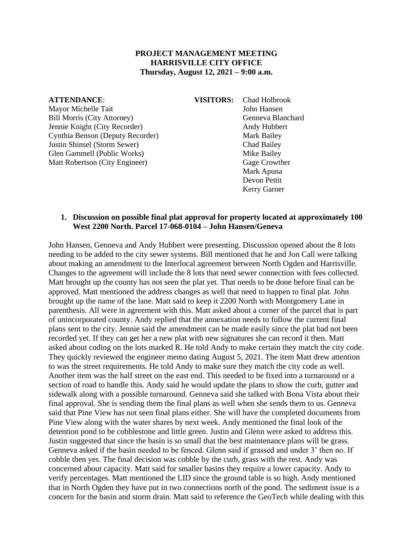#### **PROJECT MANAGEMENT MEETING HARRISVILLE CITY OFFICE Thursday, August 12, 2021 – 9:00 a.m.**

#### **ATTENDANCE**: **VISITORS:** Chad Holbrook

Mayor Michelle Tait **John Hansen** Bill Morris (City Attorney) Genneva Blanchard Jennie Knight (City Recorder) Andy Hubbert Cynthia Benson (Deputy Recorder) Mark Bailey Justin Shinsel (Storm Sewer) Chad Bailey Glen Gammell (Public Works) Mike Bailey Matt Robertson (City Engineer) Gage Crowther

Mark Apuna Devon Pettit Kerry Garner

#### **1. Discussion on possible final plat approval for property located at approximately 100 West 2200 North. Parcel 17-068-0104 – John Hansen/Geneva**

John Hansen, Genneva and Andy Hubbert were presenting. Discussion opened about the 8 lots needing to be added to the city sewer systems. Bill mentioned that he and Jon Call were talking about making an amendment to the Interlocal agreement between North Ogden and Harrisville. Changes to the agreement will include the 8 lots that need sewer connection with fees collected. Matt brought up the county has not seen the plat yet. That needs to be done before final can be approved. Matt mentioned the address changes as well that need to happen to final plat. John brought up the name of the lane. Matt said to keep it 2200 North with Montgomery Lane in parenthesis. All were in agreement with this. Matt asked about a corner of the parcel that is part of unincorporated county. Andy replied that the annexation needs to follow the current final plans sent to the city. Jennie said the amendment can be made easily since the plat had not been recorded yet. If they can get her a new plat with new signatures she can record it then. Matt asked about coding on the lots marked R. He told Andy to make certain they match the city code. They quickly reviewed the engineer memo dating August 5, 2021. The item Matt drew attention to was the street requirements. He told Andy to make sure they match the city code as well. Another item was the half street on the east end. This needed to be fixed into a turnaround or a section of road to handle this. Andy said he would update the plans to show the curb, gutter and sidewalk along with a possible turnaround. Genneva said she talked with Bona Vista about their final approval. She is sending them the final plans as well when she sends them to us. Genneva said that Pine View has not seen final plans either. She will have the completed documents from Pine View along with the water shares by next week. Andy mentioned the final look of the detention pond to be cobblestone and little green. Justin and Glenn were asked to address this. Justin suggested that since the basin is so small that the best maintenance plans will be grass. Genneva asked if the basin needed to be fenced. Glenn said if grassed and under 3' then no. If cobble then yes. The final decision was cobble by the curb, grass with the rest. Andy was concerned about capacity. Matt said for smaller basins they require a lower capacity. Andy to verify percentages. Matt mentioned the LID since the ground table is so high. Andy mentioned that in North Ogden they have put in two connections north of the pond. The sediment issue is a concern for the basin and storm drain. Matt said to reference the GeoTech while dealing with this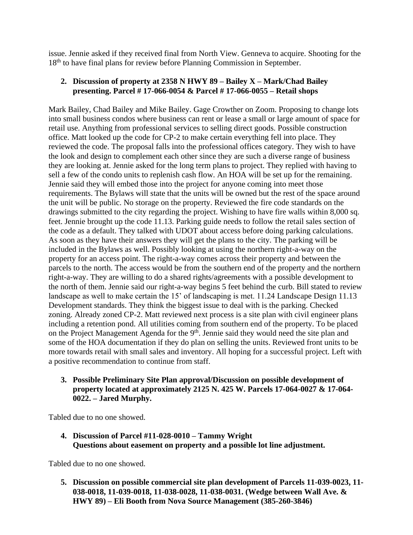issue. Jennie asked if they received final from North View. Genneva to acquire. Shooting for the 18<sup>th</sup> to have final plans for review before Planning Commission in September.

### **2. Discussion of property at 2358 N HWY 89 – Bailey X – Mark/Chad Bailey presenting. Parcel # 17-066-0054 & Parcel # 17-066-0055 – Retail shops**

Mark Bailey, Chad Bailey and Mike Bailey. Gage Crowther on Zoom. Proposing to change lots into small business condos where business can rent or lease a small or large amount of space for retail use. Anything from professional services to selling direct goods. Possible construction office. Matt looked up the code for CP-2 to make certain everything fell into place. They reviewed the code. The proposal falls into the professional offices category. They wish to have the look and design to complement each other since they are such a diverse range of business they are looking at. Jennie asked for the long term plans to project. They replied with having to sell a few of the condo units to replenish cash flow. An HOA will be set up for the remaining. Jennie said they will embed those into the project for anyone coming into meet those requirements. The Bylaws will state that the units will be owned but the rest of the space around the unit will be public. No storage on the property. Reviewed the fire code standards on the drawings submitted to the city regarding the project. Wishing to have fire walls within 8,000 sq. feet. Jennie brought up the code 11.13. Parking guide needs to follow the retail sales section of the code as a default. They talked with UDOT about access before doing parking calculations. As soon as they have their answers they will get the plans to the city. The parking will be included in the Bylaws as well. Possibly looking at using the northern right-a-way on the property for an access point. The right-a-way comes across their property and between the parcels to the north. The access would be from the southern end of the property and the northern right-a-way. They are willing to do a shared rights/agreements with a possible development to the north of them. Jennie said our right-a-way begins 5 feet behind the curb. Bill stated to review landscape as well to make certain the 15' of landscaping is met. 11.24 Landscape Design 11.13 Development standards. They think the biggest issue to deal with is the parking. Checked zoning. Already zoned CP-2. Matt reviewed next process is a site plan with civil engineer plans including a retention pond. All utilities coming from southern end of the property. To be placed on the Project Management Agenda for the  $9<sup>th</sup>$ . Jennie said they would need the site plan and some of the HOA documentation if they do plan on selling the units. Reviewed front units to be more towards retail with small sales and inventory. All hoping for a successful project. Left with a positive recommendation to continue from staff.

**3. Possible Preliminary Site Plan approval/Discussion on possible development of property located at approximately 2125 N. 425 W. Parcels 17-064-0027 & 17-064- 0022. – Jared Murphy.**

Tabled due to no one showed.

**4. Discussion of Parcel #11-028-0010 – Tammy Wright Questions about easement on property and a possible lot line adjustment.**

Tabled due to no one showed.

**5. Discussion on possible commercial site plan development of Parcels 11-039-0023, 11- 038-0018, 11-039-0018, 11-038-0028, 11-038-0031. (Wedge between Wall Ave. & HWY 89) – Eli Booth from Nova Source Management (385-260-3846)**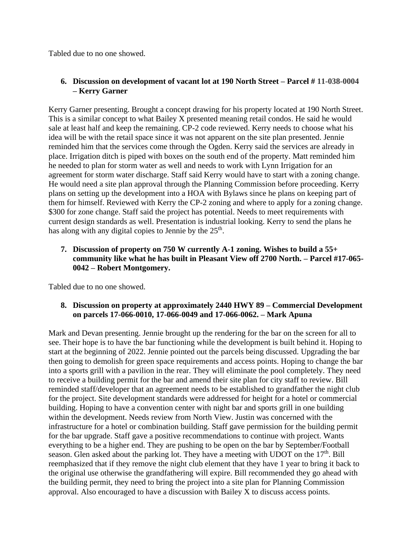Tabled due to no one showed.

# **6. Discussion on development of vacant lot at 190 North Street – Parcel # 11-038-0004 – Kerry Garner**

Kerry Garner presenting. Brought a concept drawing for his property located at 190 North Street. This is a similar concept to what Bailey X presented meaning retail condos. He said he would sale at least half and keep the remaining. CP-2 code reviewed. Kerry needs to choose what his idea will be with the retail space since it was not apparent on the site plan presented. Jennie reminded him that the services come through the Ogden. Kerry said the services are already in place. Irrigation ditch is piped with boxes on the south end of the property. Matt reminded him he needed to plan for storm water as well and needs to work with Lynn Irrigation for an agreement for storm water discharge. Staff said Kerry would have to start with a zoning change. He would need a site plan approval through the Planning Commission before proceeding. Kerry plans on setting up the development into a HOA with Bylaws since he plans on keeping part of them for himself. Reviewed with Kerry the CP-2 zoning and where to apply for a zoning change. \$300 for zone change. Staff said the project has potential. Needs to meet requirements with current design standards as well. Presentation is industrial looking. Kerry to send the plans he has along with any digital copies to Jennie by the 25<sup>th</sup>.

### **7. Discussion of property on 750 W currently A-1 zoning. Wishes to build a 55+ community like what he has built in Pleasant View off 2700 North. – Parcel #17-065- 0042 – Robert Montgomery.**

Tabled due to no one showed.

#### **8. Discussion on property at approximately 2440 HWY 89 – Commercial Development on parcels 17-066-0010, 17-066-0049 and 17-066-0062. – Mark Apuna**

Mark and Devan presenting. Jennie brought up the rendering for the bar on the screen for all to see. Their hope is to have the bar functioning while the development is built behind it. Hoping to start at the beginning of 2022. Jennie pointed out the parcels being discussed. Upgrading the bar then going to demolish for green space requirements and access points. Hoping to change the bar into a sports grill with a pavilion in the rear. They will eliminate the pool completely. They need to receive a building permit for the bar and amend their site plan for city staff to review. Bill reminded staff/developer that an agreement needs to be established to grandfather the night club for the project. Site development standards were addressed for height for a hotel or commercial building. Hoping to have a convention center with night bar and sports grill in one building within the development. Needs review from North View. Justin was concerned with the infrastructure for a hotel or combination building. Staff gave permission for the building permit for the bar upgrade. Staff gave a positive recommendations to continue with project. Wants everything to be a higher end. They are pushing to be open on the bar by September/Football season. Glen asked about the parking lot. They have a meeting with UDOT on the  $17<sup>th</sup>$ . Bill reemphasized that if they remove the night club element that they have 1 year to bring it back to the original use otherwise the grandfathering will expire. Bill recommended they go ahead with the building permit, they need to bring the project into a site plan for Planning Commission approval. Also encouraged to have a discussion with Bailey X to discuss access points.